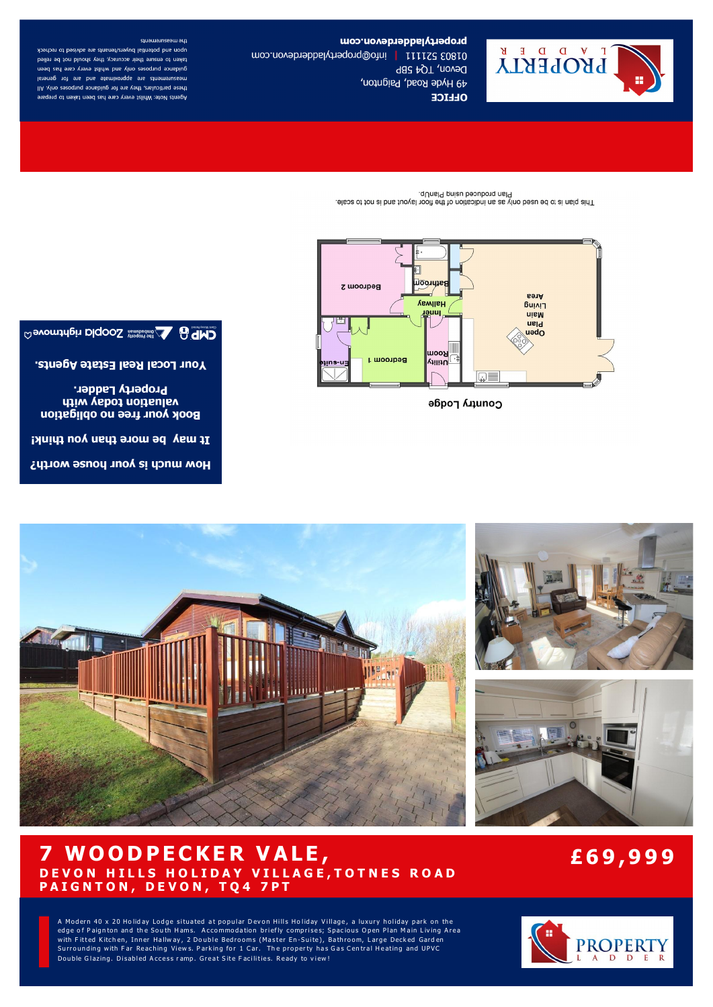

How much is your house worth?

It may be more than you think!

**Property Ladder.** valuation today with **Book your free no obligation** 

Your Local Real Estate Agents.

# Country Lodge



Plan produced using PlanUp. . Also by touring the sea (In open sea by the floor layout and is neld sin Theora

propertyladderdevon.com

49 Hyde Road, Paignton,

Devon, TQ4 5BP

**OLLICE** 

01803 52111 | info@propertyladehevon.com

the measurements upon and potential buyers/tenants are advised to recheck taken to ensure their accuracy, they should not be relied guidance purposes only and whilst every care has been Istensurements are approximate and are for general these particulars, they are for guidance purposes only. All Agents Note: Whilst every care has been taken to prepare



# **7 W O O D P E C K E R V A LE , D E V O N H I L L S H O L I D A Y V I L L A G E , T O T N E S R O A D P A I G N T O N , D E V O N , T Q 4 7 P T**

# **£6 9 , 9 9 9**

A Modern 40 x 20 Holiday Lodge situated at popular Devon Hills Holiday Village, a luxury holiday park on the edge of Paignton and the South Hams. Accommodation briefly comprises; Spacious Open Plan Main Living Area with Fitted Kitchen, Inner Hallway, 2 Double Bedrooms (Master En-Suite), Bathroom, Large Decked Garden Surrounding with Far Reaching Views. Parking for 1 Car. The property has Gas Central Heating and UPVC Double Glazing. Disabled Access ramp. Great Site Facilities. Ready to view!